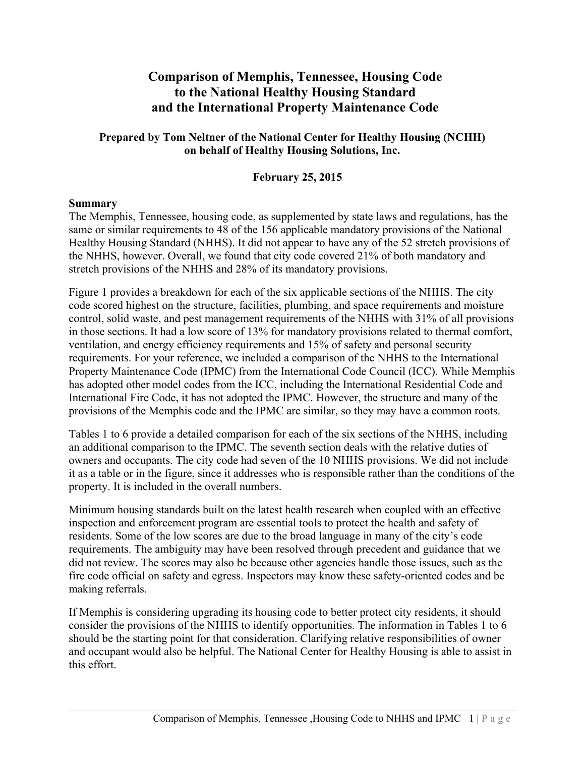# **Comparison of Memphis, Tennessee, Housing Code to the National Healthy Housing Standard and the International Property Maintenance Code**

### **Prepared by Tom Neltner of the National Center for Healthy Housing (NCHH) on behalf of Healthy Housing Solutions, Inc.**

### **February 25, 2015**

### **Summary**

The Memphis, Tennessee, housing code, as supplemented by state laws and regulations, has the same or similar requirements to 48 of the 156 applicable mandatory provisions of the National Healthy Housing Standard (NHHS). It did not appear to have any of the 52 stretch provisions of the NHHS, however. Overall, we found that city code covered 21% of both mandatory and stretch provisions of the NHHS and 28% of its mandatory provisions.

Figure 1 provides a breakdown for each of the six applicable sections of the NHHS. The city code scored highest on the structure, facilities, plumbing, and space requirements and moisture control, solid waste, and pest management requirements of the NHHS with 31% of all provisions in those sections. It had a low score of 13% for mandatory provisions related to thermal comfort, ventilation, and energy efficiency requirements and 15% of safety and personal security requirements. For your reference, we included a comparison of the NHHS to the International Property Maintenance Code (IPMC) from the International Code Council (ICC). While Memphis has adopted other model codes from the ICC, including the International Residential Code and International Fire Code, it has not adopted the IPMC. However, the structure and many of the provisions of the Memphis code and the IPMC are similar, so they may have a common roots.

Tables 1 to 6 provide a detailed comparison for each of the six sections of the NHHS, including an additional comparison to the IPMC. The seventh section deals with the relative duties of owners and occupants. The city code had seven of the 10 NHHS provisions. We did not include it as a table or in the figure, since it addresses who is responsible rather than the conditions of the property. It is included in the overall numbers.

Minimum housing standards built on the latest health research when coupled with an effective inspection and enforcement program are essential tools to protect the health and safety of residents. Some of the low scores are due to the broad language in many of the city's code requirements. The ambiguity may have been resolved through precedent and guidance that we did not review. The scores may also be because other agencies handle those issues, such as the fire code official on safety and egress. Inspectors may know these safety-oriented codes and be making referrals.

If Memphis is considering upgrading its housing code to better protect city residents, it should consider the provisions of the NHHS to identify opportunities. The information in Tables 1 to 6 should be the starting point for that consideration. Clarifying relative responsibilities of owner and occupant would also be helpful. The National Center for Healthy Housing is able to assist in this effort.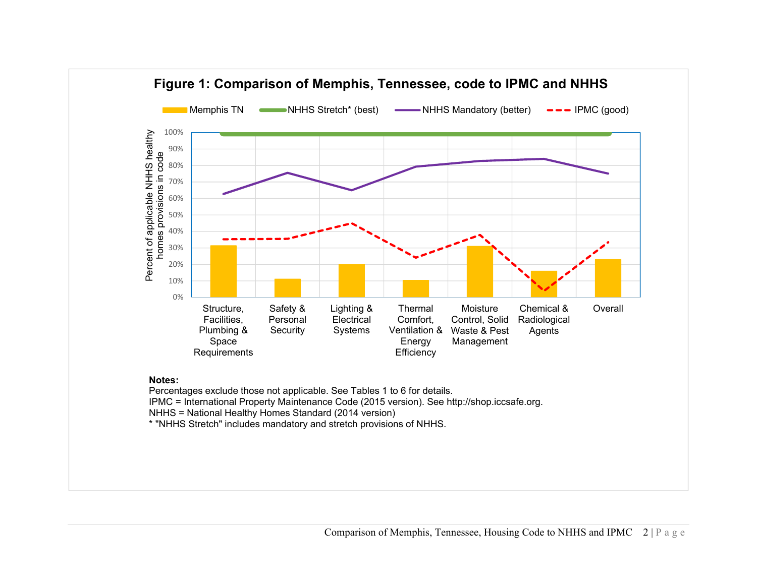

### **Notes:**

Percentages exclude those not applicable. See Tables 1 to 6 for details. IPMC = International Property Maintenance Code (2015 version). See http://shop.iccsafe.org. NHHS = National Healthy Homes Standard (2014 version) \* "NHHS Stretch" includes mandatory and stretch provisions of NHHS.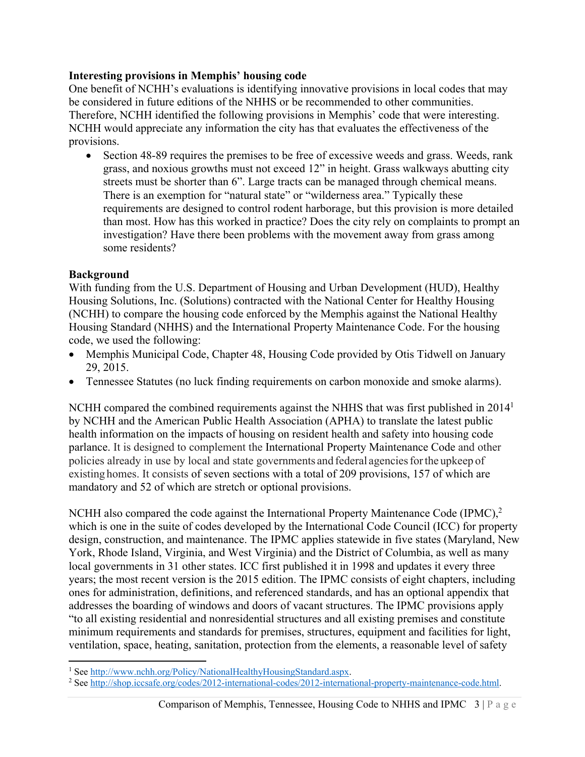### **Interesting provisions in Memphis' housing code**

One benefit of NCHH's evaluations is identifying innovative provisions in local codes that may be considered in future editions of the NHHS or be recommended to other communities. Therefore, NCHH identified the following provisions in Memphis' code that were interesting. NCHH would appreciate any information the city has that evaluates the effectiveness of the provisions.

 Section 48-89 requires the premises to be free of excessive weeds and grass. Weeds, rank grass, and noxious growths must not exceed 12" in height. Grass walkways abutting city streets must be shorter than 6". Large tracts can be managed through chemical means. There is an exemption for "natural state" or "wilderness area." Typically these requirements are designed to control rodent harborage, but this provision is more detailed than most. How has this worked in practice? Does the city rely on complaints to prompt an investigation? Have there been problems with the movement away from grass among some residents?

## **Background**

With funding from the U.S. Department of Housing and Urban Development (HUD), Healthy Housing Solutions, Inc. (Solutions) contracted with the National Center for Healthy Housing (NCHH) to compare the housing code enforced by the Memphis against the National Healthy Housing Standard (NHHS) and the International Property Maintenance Code. For the housing code, we used the following:

- Memphis Municipal Code, Chapter 48, Housing Code provided by Otis Tidwell on January 29, 2015.
- Tennessee Statutes (no luck finding requirements on carbon monoxide and smoke alarms).

NCHH compared the combined requirements against the NHHS that was first published in 2014<sup>1</sup> by NCHH and the American Public Health Association (APHA) to translate the latest public health information on the impacts of housing on resident health and safety into housing code parlance. It is designed to complement the International Property Maintenance Code and other policies already in use by local and state governments and federal agencies for the upkeep of existing homes. It consists of seven sections with a total of 209 provisions, 157 of which are mandatory and 52 of which are stretch or optional provisions.

NCHH also compared the code against the International Property Maintenance Code (IPMC),<sup>2</sup> which is one in the suite of codes developed by the International Code Council (ICC) for property design, construction, and maintenance. The IPMC applies statewide in five states (Maryland, New York, Rhode Island, Virginia, and West Virginia) and the District of Columbia, as well as many local governments in 31 other states. ICC first published it in 1998 and updates it every three years; the most recent version is the 2015 edition. The IPMC consists of eight chapters, including ones for administration, definitions, and referenced standards, and has an optional appendix that addresses the boarding of windows and doors of vacant structures. The IPMC provisions apply "to all existing residential and nonresidential structures and all existing premises and constitute minimum requirements and standards for premises, structures, equipment and facilities for light, ventilation, space, heating, sanitation, protection from the elements, a reasonable level of safety

<sup>&</sup>lt;sup>1</sup> See http://www.nchh.org/Policy/NationalHealthyHousingStandard.aspx.<br><sup>2</sup> See http://shop.iccsafe.org/codes/2012.international.codes/2012.internatio

<sup>&</sup>lt;sup>2</sup> See http://shop.iccsafe.org/codes/2012-international-codes/2012-international-property-maintenance-code.html.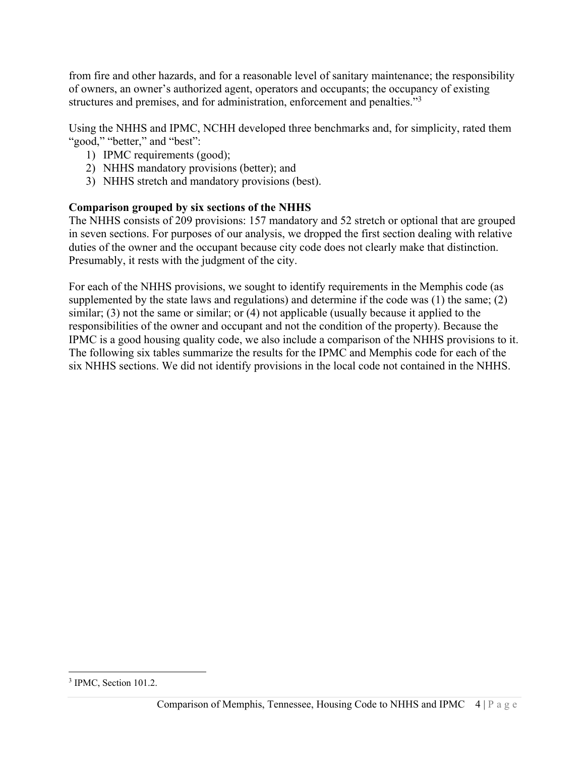from fire and other hazards, and for a reasonable level of sanitary maintenance; the responsibility of owners, an owner's authorized agent, operators and occupants; the occupancy of existing structures and premises, and for administration, enforcement and penalties."<sup>3</sup>

Using the NHHS and IPMC, NCHH developed three benchmarks and, for simplicity, rated them "good," "better," and "best":

- 1) IPMC requirements (good);
- 2) NHHS mandatory provisions (better); and
- 3) NHHS stretch and mandatory provisions (best).

# **Comparison grouped by six sections of the NHHS**

The NHHS consists of 209 provisions: 157 mandatory and 52 stretch or optional that are grouped in seven sections. For purposes of our analysis, we dropped the first section dealing with relative duties of the owner and the occupant because city code does not clearly make that distinction. Presumably, it rests with the judgment of the city.

For each of the NHHS provisions, we sought to identify requirements in the Memphis code (as supplemented by the state laws and regulations) and determine if the code was (1) the same; (2) similar; (3) not the same or similar; or (4) not applicable (usually because it applied to the responsibilities of the owner and occupant and not the condition of the property). Because the IPMC is a good housing quality code, we also include a comparison of the NHHS provisions to it. The following six tables summarize the results for the IPMC and Memphis code for each of the six NHHS sections. We did not identify provisions in the local code not contained in the NHHS.

<sup>&</sup>lt;sup>3</sup> IPMC, Section 101.2.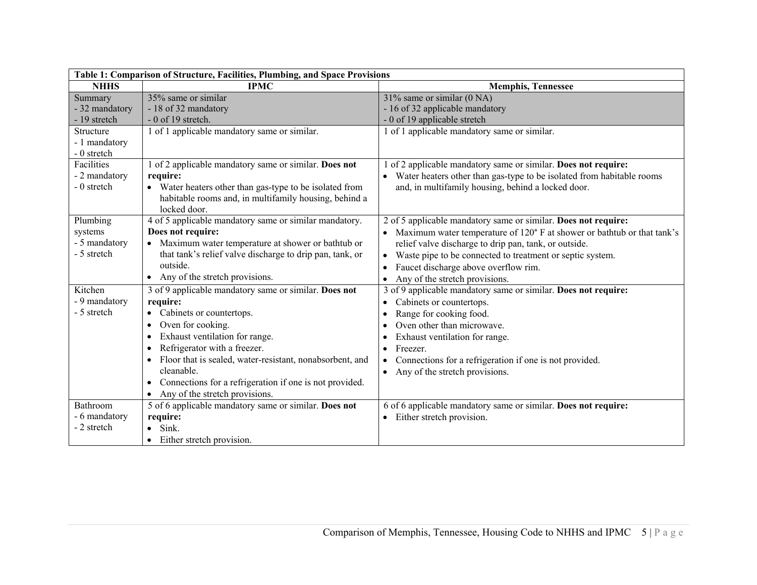| Table 1: Comparison of Structure, Facilities, Plumbing, and Space Provisions |                                                                                                                                                                                                                                                                                                                                                                                                                 |                                                                                                                                                                                                                                                                                                                                                                                    |
|------------------------------------------------------------------------------|-----------------------------------------------------------------------------------------------------------------------------------------------------------------------------------------------------------------------------------------------------------------------------------------------------------------------------------------------------------------------------------------------------------------|------------------------------------------------------------------------------------------------------------------------------------------------------------------------------------------------------------------------------------------------------------------------------------------------------------------------------------------------------------------------------------|
| <b>NHHS</b>                                                                  | <b>IPMC</b>                                                                                                                                                                                                                                                                                                                                                                                                     | <b>Memphis, Tennessee</b>                                                                                                                                                                                                                                                                                                                                                          |
| Summary<br>- 32 mandatory<br>- 19 stretch<br>Structure<br>- 1 mandatory      | 35% same or similar<br>- 18 of 32 mandatory<br>$-0$ of 19 stretch.<br>1 of 1 applicable mandatory same or similar.                                                                                                                                                                                                                                                                                              | $31\%$ same or similar (0 NA)<br>- 16 of 32 applicable mandatory<br>- 0 of 19 applicable stretch<br>1 of 1 applicable mandatory same or similar.                                                                                                                                                                                                                                   |
| - 0 stretch<br>Facilities<br>- 2 mandatory<br>- 0 stretch                    | 1 of 2 applicable mandatory same or similar. Does not<br>require:<br>• Water heaters other than gas-type to be isolated from<br>habitable rooms and, in multifamily housing, behind a<br>locked door.                                                                                                                                                                                                           | of 2 applicable mandatory same or similar. Does not require:<br>• Water heaters other than gas-type to be isolated from habitable rooms<br>and, in multifamily housing, behind a locked door.                                                                                                                                                                                      |
| Plumbing<br>systems<br>- 5 mandatory<br>- 5 stretch                          | 4 of 5 applicable mandatory same or similar mandatory.<br>Does not require:<br>• Maximum water temperature at shower or bathtub or<br>that tank's relief valve discharge to drip pan, tank, or<br>outside.<br>• Any of the stretch provisions.                                                                                                                                                                  | 2 of 5 applicable mandatory same or similar. Does not require:<br>• Maximum water temperature of 120° F at shower or bathtub or that tank's<br>relief valve discharge to drip pan, tank, or outside.<br>Waste pipe to be connected to treatment or septic system.<br>$\bullet$<br>Faucet discharge above overflow rim.<br>$\bullet$<br>Any of the stretch provisions.<br>$\bullet$ |
| Kitchen<br>- 9 mandatory<br>- 5 stretch                                      | 3 of 9 applicable mandatory same or similar. Does not<br>require:<br>Cabinets or countertops.<br>$\bullet$<br>Oven for cooking.<br>$\bullet$<br>Exhaust ventilation for range.<br>Refrigerator with a freezer.<br>Floor that is sealed, water-resistant, nonabsorbent, and<br>$\bullet$<br>cleanable.<br>Connections for a refrigeration if one is not provided.<br>$\bullet$<br>Any of the stretch provisions. | 3 of 9 applicable mandatory same or similar. Does not require:<br>Cabinets or countertops.<br>$\bullet$<br>Range for cooking food.<br>$\bullet$<br>Oven other than microwave.<br>Exhaust ventilation for range.<br>٠<br>Freezer.<br>٠<br>Connections for a refrigeration if one is not provided.<br>$\bullet$<br>Any of the stretch provisions.                                    |
| <b>Bathroom</b><br>- 6 mandatory<br>- 2 stretch                              | 5 of 6 applicable mandatory same or similar. Does not<br>require:<br>Sink.<br>Either stretch provision.                                                                                                                                                                                                                                                                                                         | 6 of 6 applicable mandatory same or similar. Does not require:<br>Either stretch provision.                                                                                                                                                                                                                                                                                        |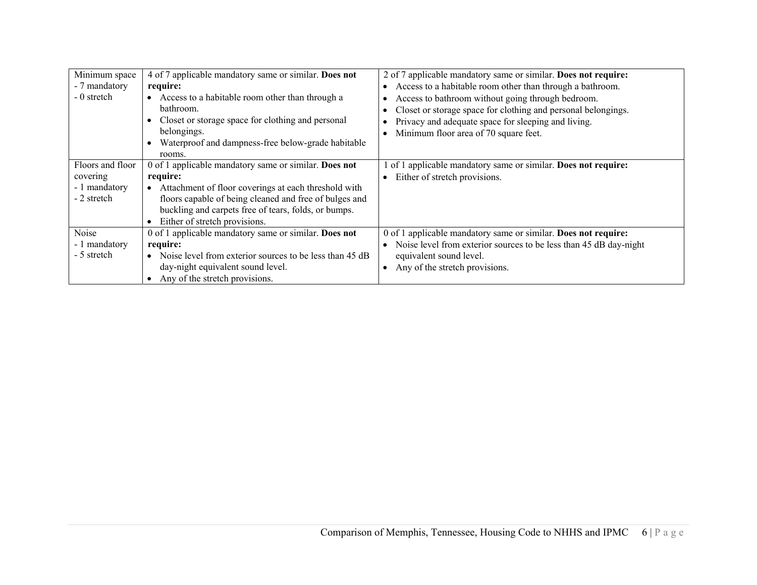| Minimum space<br>- 7 mandatory<br>- 0 stretch                | 4 of 7 applicable mandatory same or similar. Does not<br>require:<br>Access to a habitable room other than through a<br>bathroom.<br>Closet or storage space for clothing and personal<br>belongings.<br>Waterproof and dampness-free below-grade habitable<br>rooms.        | 2 of 7 applicable mandatory same or similar. Does not require:<br>Access to a habitable room other than through a bathroom.<br>Access to bathroom without going through bedroom.<br>Closet or storage space for clothing and personal belongings.<br>Privacy and adequate space for sleeping and living.<br>Minimum floor area of 70 square feet. |
|--------------------------------------------------------------|------------------------------------------------------------------------------------------------------------------------------------------------------------------------------------------------------------------------------------------------------------------------------|---------------------------------------------------------------------------------------------------------------------------------------------------------------------------------------------------------------------------------------------------------------------------------------------------------------------------------------------------|
| Floors and floor<br>covering<br>- 1 mandatory<br>- 2 stretch | 0 of 1 applicable mandatory same or similar. Does not<br>require:<br>Attachment of floor coverings at each threshold with<br>floors capable of being cleaned and free of bulges and<br>buckling and carpets free of tears, folds, or bumps.<br>Either of stretch provisions. | of 1 applicable mandatory same or similar. Does not require:<br>Either of stretch provisions.                                                                                                                                                                                                                                                     |
| Noise<br>- 1 mandatory<br>- 5 stretch                        | 0 of 1 applicable mandatory same or similar. Does not<br>require:<br>Noise level from exterior sources to be less than 45 dB<br>$\bullet$<br>day-night equivalent sound level.<br>Any of the stretch provisions.                                                             | 0 of 1 applicable mandatory same or similar. Does not require:<br>Noise level from exterior sources to be less than 45 dB day-night<br>equivalent sound level.<br>Any of the stretch provisions.                                                                                                                                                  |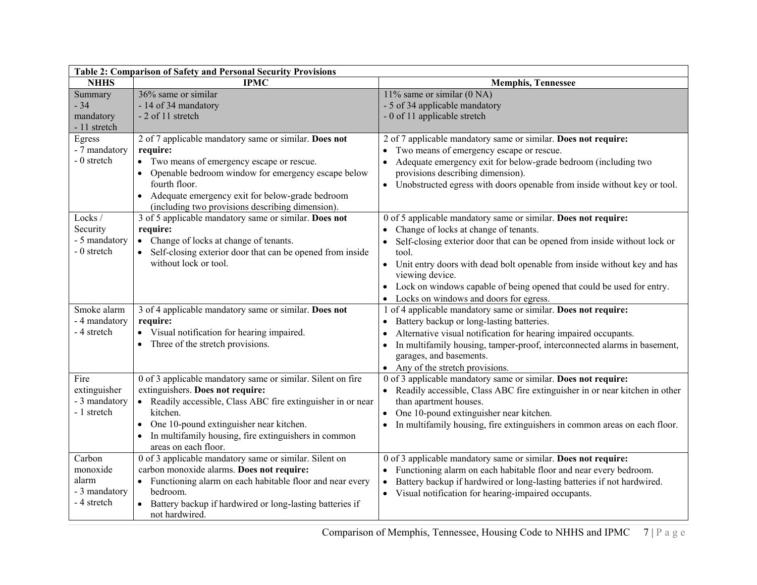| Table 2: Comparison of Safety and Personal Security Provisions |                                                                                                                                                                                                                                                                                                              |                                                                                                                                                                                                                                                                                                                                                                                                                       |  |
|----------------------------------------------------------------|--------------------------------------------------------------------------------------------------------------------------------------------------------------------------------------------------------------------------------------------------------------------------------------------------------------|-----------------------------------------------------------------------------------------------------------------------------------------------------------------------------------------------------------------------------------------------------------------------------------------------------------------------------------------------------------------------------------------------------------------------|--|
| <b>NHHS</b>                                                    | <b>IPMC</b>                                                                                                                                                                                                                                                                                                  | <b>Memphis, Tennessee</b>                                                                                                                                                                                                                                                                                                                                                                                             |  |
| Summary<br>$-34$<br>mandatory<br>- 11 stretch                  | 36% same or similar<br>- 14 of 34 mandatory<br>- 2 of 11 stretch                                                                                                                                                                                                                                             | 11% same or similar $(0 NA)$<br>- 5 of 34 applicable mandatory<br>- 0 of 11 applicable stretch                                                                                                                                                                                                                                                                                                                        |  |
| Egress<br>- 7 mandatory<br>- 0 stretch                         | 2 of 7 applicable mandatory same or similar. Does not<br>require:<br>• Two means of emergency escape or rescue.<br>Openable bedroom window for emergency escape below<br>$\bullet$<br>fourth floor.<br>• Adequate emergency exit for below-grade bedroom<br>(including two provisions describing dimension). | 2 of 7 applicable mandatory same or similar. Does not require:<br>Two means of emergency escape or rescue.<br>Adequate emergency exit for below-grade bedroom (including two<br>provisions describing dimension).<br>• Unobstructed egress with doors openable from inside without key or tool.                                                                                                                       |  |
| Locks/<br>Security<br>- 5 mandatory<br>- 0 stretch             | 3 of 5 applicable mandatory same or similar. Does not<br>require:<br>• Change of locks at change of tenants.<br>• Self-closing exterior door that can be opened from inside<br>without lock or tool.                                                                                                         | 0 of 5 applicable mandatory same or similar. Does not require:<br>Change of locks at change of tenants.<br>Self-closing exterior door that can be opened from inside without lock or<br>tool.<br>• Unit entry doors with dead bolt openable from inside without key and has<br>viewing device.<br>• Lock on windows capable of being opened that could be used for entry.<br>• Locks on windows and doors for egress. |  |
| Smoke alarm<br>- 4 mandatory<br>- 4 stretch                    | 3 of 4 applicable mandatory same or similar. Does not<br>require:<br>• Visual notification for hearing impaired.<br>• Three of the stretch provisions.                                                                                                                                                       | 1 of 4 applicable mandatory same or similar. Does not require:<br>Battery backup or long-lasting batteries.<br>$\bullet$<br>Alternative visual notification for hearing impaired occupants.<br>In multifamily housing, tamper-proof, interconnected alarms in basement,<br>$\bullet$<br>garages, and basements.<br>• Any of the stretch provisions.                                                                   |  |
| Fire<br>extinguisher<br>- 3 mandatory<br>- 1 stretch           | 0 of 3 applicable mandatory same or similar. Silent on fire<br>extinguishers. Does not require:<br>• Readily accessible, Class ABC fire extinguisher in or near<br>kitchen.<br>One 10-pound extinguisher near kitchen.<br>In multifamily housing, fire extinguishers in common<br>areas on each floor.       | 0 of 3 applicable mandatory same or similar. Does not require:<br>• Readily accessible, Class ABC fire extinguisher in or near kitchen in other<br>than apartment houses.<br>One 10-pound extinguisher near kitchen.<br>$\bullet$<br>In multifamily housing, fire extinguishers in common areas on each floor.                                                                                                        |  |
| Carbon<br>monoxide<br>alarm<br>- 3 mandatory<br>- 4 stretch    | 0 of 3 applicable mandatory same or similar. Silent on<br>carbon monoxide alarms. Does not require:<br>• Functioning alarm on each habitable floor and near every<br>bedroom.<br>• Battery backup if hardwired or long-lasting batteries if<br>not hardwired.                                                | 0 of 3 applicable mandatory same or similar. Does not require:<br>• Functioning alarm on each habitable floor and near every bedroom.<br>Battery backup if hardwired or long-lasting batteries if not hardwired.<br>$\bullet$<br>• Visual notification for hearing-impaired occupants.                                                                                                                                |  |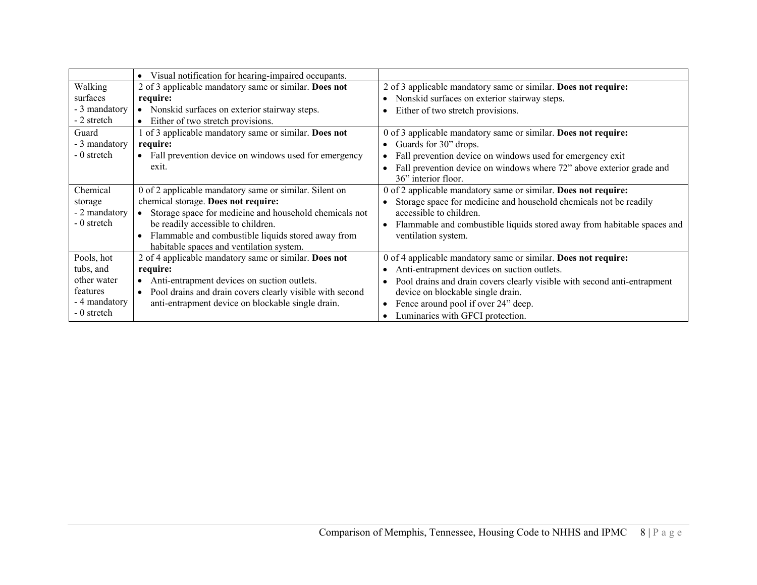|               | • Visual notification for hearing-impaired occupants.      |                                                                          |
|---------------|------------------------------------------------------------|--------------------------------------------------------------------------|
| Walking       | 2 of 3 applicable mandatory same or similar. Does not      | 2 of 3 applicable mandatory same or similar. Does not require:           |
| surfaces      | require:                                                   | Nonskid surfaces on exterior stairway steps.                             |
| - 3 mandatory | • Nonskid surfaces on exterior stairway steps.             | Either of two stretch provisions.                                        |
| - 2 stretch   | • Either of two stretch provisions.                        |                                                                          |
| Guard         | 1 of 3 applicable mandatory same or similar. Does not      | 0 of 3 applicable mandatory same or similar. Does not require:           |
| - 3 mandatory | require:                                                   | Guards for 30" drops.                                                    |
| - 0 stretch   | • Fall prevention device on windows used for emergency     | Fall prevention device on windows used for emergency exit                |
|               | exit.                                                      | Fall prevention device on windows where 72" above exterior grade and     |
|               |                                                            | 36" interior floor.                                                      |
| Chemical      | 0 of 2 applicable mandatory same or similar. Silent on     | 0 of 2 applicable mandatory same or similar. Does not require:           |
| storage       | chemical storage. Does not require:                        | Storage space for medicine and household chemicals not be readily        |
| - 2 mandatory | Storage space for medicine and household chemicals not     | accessible to children.                                                  |
| - 0 stretch   | be readily accessible to children.                         | Flammable and combustible liquids stored away from habitable spaces and  |
|               | Flammable and combustible liquids stored away from         | ventilation system.                                                      |
|               | habitable spaces and ventilation system.                   |                                                                          |
| Pools, hot    | 2 of 4 applicable mandatory same or similar. Does not      | 0 of 4 applicable mandatory same or similar. Does not require:           |
| tubs, and     | require:                                                   | Anti-entrapment devices on suction outlets.                              |
| other water   | • Anti-entrapment devices on suction outlets.              | Pool drains and drain covers clearly visible with second anti-entrapment |
| features      | • Pool drains and drain covers clearly visible with second | device on blockable single drain.                                        |
| - 4 mandatory | anti-entrapment device on blockable single drain.          | Fence around pool if over 24" deep.                                      |
| - 0 stretch   |                                                            | Luminaries with GFCI protection.                                         |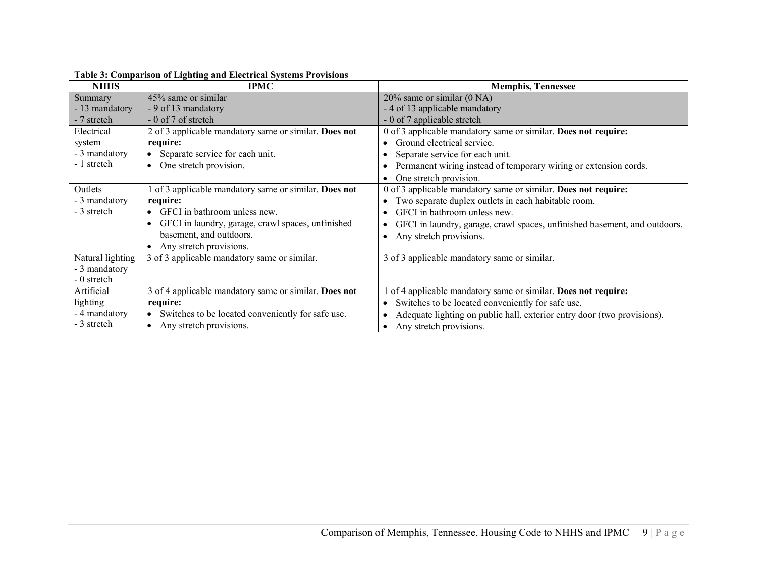| Table 3: Comparison of Lighting and Electrical Systems Provisions |                                                       |                                                                           |
|-------------------------------------------------------------------|-------------------------------------------------------|---------------------------------------------------------------------------|
| <b>NHHS</b>                                                       | <b>IPMC</b>                                           | <b>Memphis, Tennessee</b>                                                 |
| Summary                                                           | 45% same or similar                                   | 20% same or similar (0 NA)                                                |
| - 13 mandatory                                                    | - 9 of 13 mandatory                                   | - 4 of 13 applicable mandatory                                            |
| - 7 stretch                                                       | - 0 of 7 of stretch                                   | - 0 of 7 applicable stretch                                               |
| Electrical                                                        | 2 of 3 applicable mandatory same or similar. Does not | 0 of 3 applicable mandatory same or similar. Does not require:            |
| system                                                            | require:                                              | Ground electrical service.                                                |
| - 3 mandatory                                                     | • Separate service for each unit.                     | Separate service for each unit.                                           |
| - 1 stretch                                                       | • One stretch provision.                              | Permanent wiring instead of temporary wiring or extension cords.          |
|                                                                   |                                                       | One stretch provision.                                                    |
| Outlets                                                           | 1 of 3 applicable mandatory same or similar. Does not | 0 of 3 applicable mandatory same or similar. Does not require:            |
| - 3 mandatory                                                     | require:                                              | Two separate duplex outlets in each habitable room.                       |
| - 3 stretch                                                       | • GFCI in bathroom unless new.                        | GFCI in bathroom unless new.                                              |
|                                                                   | GFCI in laundry, garage, crawl spaces, unfinished     | GFCI in laundry, garage, crawl spaces, unfinished basement, and outdoors. |
|                                                                   | basement, and outdoors.                               | Any stretch provisions.                                                   |
|                                                                   | • Any stretch provisions.                             |                                                                           |
| Natural lighting                                                  | 3 of 3 applicable mandatory same or similar.          | 3 of 3 applicable mandatory same or similar.                              |
| - 3 mandatory                                                     |                                                       |                                                                           |
| - 0 stretch                                                       |                                                       |                                                                           |
| Artificial                                                        | 3 of 4 applicable mandatory same or similar. Does not | of 4 applicable mandatory same or similar. Does not require:              |
| lighting                                                          | require:                                              | Switches to be located conveniently for safe use.                         |
| - 4 mandatory                                                     | • Switches to be located conveniently for safe use.   | Adequate lighting on public hall, exterior entry door (two provisions).   |
| - 3 stretch                                                       | • Any stretch provisions.                             | Any stretch provisions.                                                   |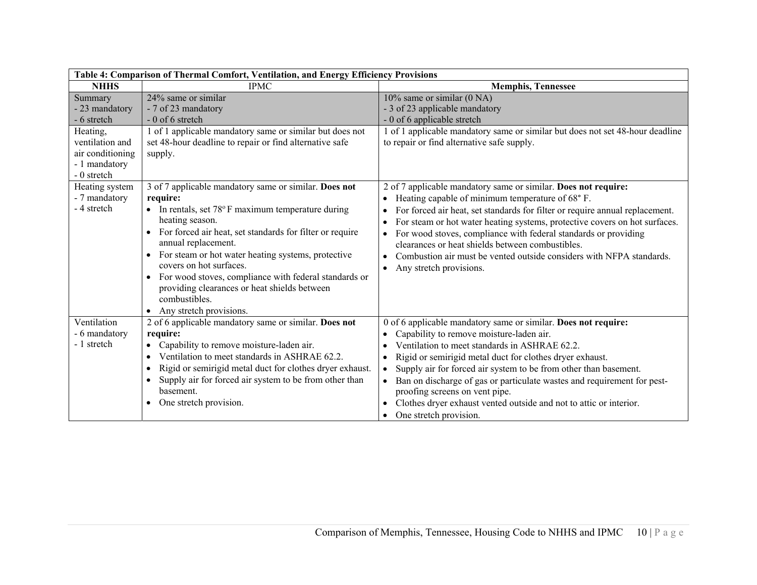| Table 4: Comparison of Thermal Comfort, Ventilation, and Energy Efficiency Provisions                                       |                                                                                                                                                                                                                                                                                                                                                                                                                                                                                                          |                                                                                                                                                                                                                                                                                                                                                                                                                                                                                                                                    |
|-----------------------------------------------------------------------------------------------------------------------------|----------------------------------------------------------------------------------------------------------------------------------------------------------------------------------------------------------------------------------------------------------------------------------------------------------------------------------------------------------------------------------------------------------------------------------------------------------------------------------------------------------|------------------------------------------------------------------------------------------------------------------------------------------------------------------------------------------------------------------------------------------------------------------------------------------------------------------------------------------------------------------------------------------------------------------------------------------------------------------------------------------------------------------------------------|
| <b>NHHS</b>                                                                                                                 | <b>IPMC</b>                                                                                                                                                                                                                                                                                                                                                                                                                                                                                              | <b>Memphis, Tennessee</b>                                                                                                                                                                                                                                                                                                                                                                                                                                                                                                          |
| Summary<br>- 23 mandatory<br>- 6 stretch<br>Heating,<br>ventilation and<br>air conditioning<br>- 1 mandatory<br>- 0 stretch | 24% same or similar<br>- 7 of 23 mandatory<br>$-0$ of 6 stretch<br>1 of 1 applicable mandatory same or similar but does not<br>set 48-hour deadline to repair or find alternative safe<br>supply.                                                                                                                                                                                                                                                                                                        | 10% same or similar (0 NA)<br>- 3 of 23 applicable mandatory<br>- 0 of 6 applicable stretch<br>1 of 1 applicable mandatory same or similar but does not set 48-hour deadline<br>to repair or find alternative safe supply.                                                                                                                                                                                                                                                                                                         |
| Heating system<br>- 7 mandatory<br>- 4 stretch                                                                              | 3 of 7 applicable mandatory same or similar. Does not<br>require:<br>• In rentals, set $78^{\circ}$ F maximum temperature during<br>heating season.<br>For forced air heat, set standards for filter or require<br>annual replacement.<br>For steam or hot water heating systems, protective<br>$\bullet$<br>covers on hot surfaces.<br>• For wood stoves, compliance with federal standards or<br>providing clearances or heat shields between<br>combustibles.<br>Any stretch provisions.<br>$\bullet$ | 2 of 7 applicable mandatory same or similar. Does not require:<br>Heating capable of minimum temperature of 68°F.<br>For forced air heat, set standards for filter or require annual replacement.<br>For steam or hot water heating systems, protective covers on hot surfaces.<br>For wood stoves, compliance with federal standards or providing<br>clearances or heat shields between combustibles.<br>Combustion air must be vented outside considers with NFPA standards.<br>Any stretch provisions.<br>$\bullet$             |
| Ventilation<br>- 6 mandatory<br>- 1 stretch                                                                                 | 2 of 6 applicable mandatory same or similar. Does not<br>require:<br>Capability to remove moisture-laden air.<br>Ventilation to meet standards in ASHRAE 62.2.<br>Rigid or semirigid metal duct for clothes dryer exhaust.<br>$\bullet$<br>Supply air for forced air system to be from other than<br>basement.<br>One stretch provision.                                                                                                                                                                 | 0 of 6 applicable mandatory same or similar. Does not require:<br>Capability to remove moisture-laden air.<br>Ventilation to meet standards in ASHRAE 62.2.<br>Rigid or semirigid metal duct for clothes dryer exhaust.<br>Supply air for forced air system to be from other than basement.<br>$\bullet$<br>Ban on discharge of gas or particulate wastes and requirement for pest-<br>$\bullet$<br>proofing screens on vent pipe.<br>Clothes dryer exhaust vented outside and not to attic or interior.<br>One stretch provision. |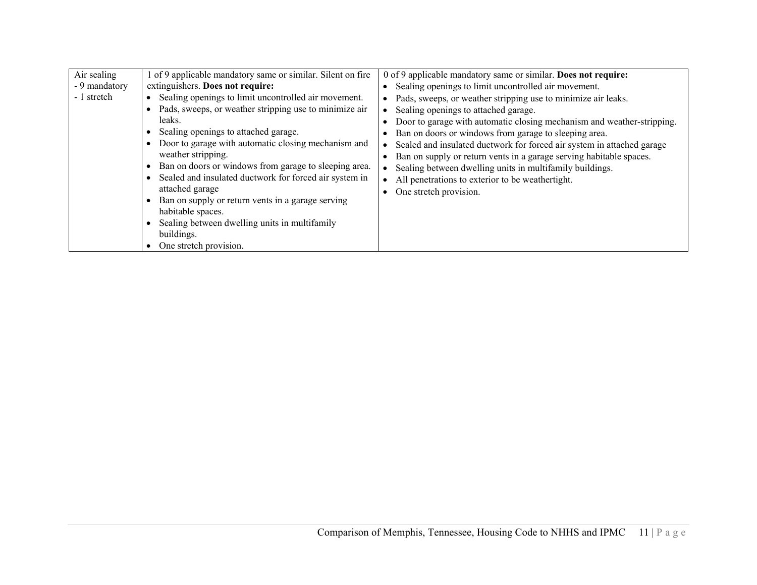| Air sealing<br>- 9 mandatory<br>- 1 stretch | of 9 applicable mandatory same or similar. Silent on fire<br>extinguishers. Does not require:<br>Sealing openings to limit uncontrolled air movement.<br>$\bullet$<br>Pads, sweeps, or weather stripping use to minimize air<br>leaks.<br>Sealing openings to attached garage.<br>Door to garage with automatic closing mechanism and<br>weather stripping.<br>Ban on doors or windows from garage to sleeping area.<br>Sealed and insulated ductwork for forced air system in<br>$\bullet$<br>attached garage<br>Ban on supply or return vents in a garage serving<br>habitable spaces. | 0 of 9 applicable mandatory same or similar. Does not require:<br>Sealing openings to limit uncontrolled air movement.<br>Pads, sweeps, or weather stripping use to minimize air leaks.<br>Sealing openings to attached garage.<br>Door to garage with automatic closing mechanism and weather-stripping.<br>Ban on doors or windows from garage to sleeping area.<br>Sealed and insulated ductwork for forced air system in attached garage<br>Ban on supply or return vents in a garage serving habitable spaces.<br>Sealing between dwelling units in multifamily buildings.<br>All penetrations to exterior to be weathertight.<br>One stretch provision. |
|---------------------------------------------|------------------------------------------------------------------------------------------------------------------------------------------------------------------------------------------------------------------------------------------------------------------------------------------------------------------------------------------------------------------------------------------------------------------------------------------------------------------------------------------------------------------------------------------------------------------------------------------|---------------------------------------------------------------------------------------------------------------------------------------------------------------------------------------------------------------------------------------------------------------------------------------------------------------------------------------------------------------------------------------------------------------------------------------------------------------------------------------------------------------------------------------------------------------------------------------------------------------------------------------------------------------|
|                                             | Sealing between dwelling units in multifamily<br>buildings.<br>One stretch provision.                                                                                                                                                                                                                                                                                                                                                                                                                                                                                                    |                                                                                                                                                                                                                                                                                                                                                                                                                                                                                                                                                                                                                                                               |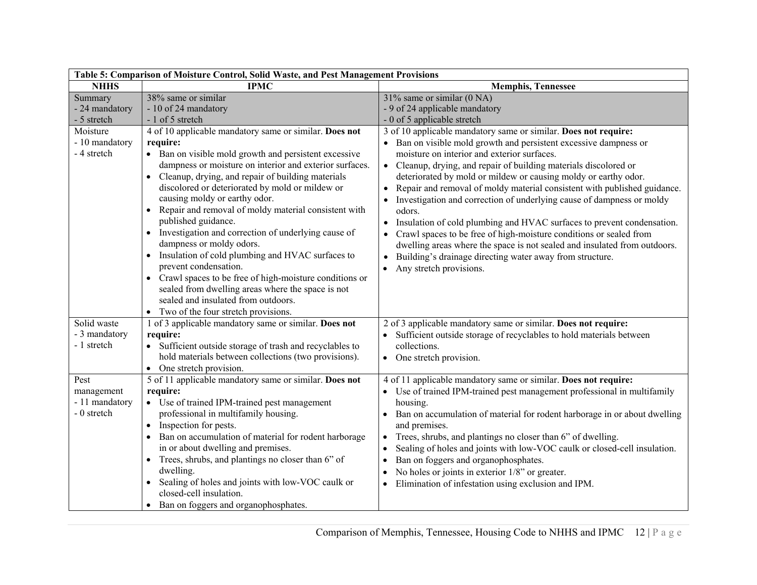| Table 5: Comparison of Moisture Control, Solid Waste, and Pest Management Provisions |                                                                                                                                                                                                                                                                                                                                                                                                                                                                                                                                                                                                                                                                                                                                                                                                           |                                                                                                                                                                                                                                                                                                                                                                                                                                                                                                                                                                                                                                                                                                                                                                                                                                          |  |
|--------------------------------------------------------------------------------------|-----------------------------------------------------------------------------------------------------------------------------------------------------------------------------------------------------------------------------------------------------------------------------------------------------------------------------------------------------------------------------------------------------------------------------------------------------------------------------------------------------------------------------------------------------------------------------------------------------------------------------------------------------------------------------------------------------------------------------------------------------------------------------------------------------------|------------------------------------------------------------------------------------------------------------------------------------------------------------------------------------------------------------------------------------------------------------------------------------------------------------------------------------------------------------------------------------------------------------------------------------------------------------------------------------------------------------------------------------------------------------------------------------------------------------------------------------------------------------------------------------------------------------------------------------------------------------------------------------------------------------------------------------------|--|
| <b>NHHS</b>                                                                          | <b>IPMC</b>                                                                                                                                                                                                                                                                                                                                                                                                                                                                                                                                                                                                                                                                                                                                                                                               | <b>Memphis, Tennessee</b>                                                                                                                                                                                                                                                                                                                                                                                                                                                                                                                                                                                                                                                                                                                                                                                                                |  |
| Summary<br>- 24 mandatory<br>- 5 stretch                                             | 38% same or similar<br>- 10 of 24 mandatory<br>- 1 of 5 stretch                                                                                                                                                                                                                                                                                                                                                                                                                                                                                                                                                                                                                                                                                                                                           | $31\%$ same or similar (0 NA)<br>- 9 of 24 applicable mandatory<br>- 0 of 5 applicable stretch                                                                                                                                                                                                                                                                                                                                                                                                                                                                                                                                                                                                                                                                                                                                           |  |
| Moisture<br>- 10 mandatory<br>- 4 stretch                                            | 4 of 10 applicable mandatory same or similar. Does not<br>require:<br>• Ban on visible mold growth and persistent excessive<br>dampness or moisture on interior and exterior surfaces.<br>• Cleanup, drying, and repair of building materials<br>discolored or deteriorated by mold or mildew or<br>causing moldy or earthy odor.<br>Repair and removal of moldy material consistent with<br>published guidance.<br>• Investigation and correction of underlying cause of<br>dampness or moldy odors.<br>Insulation of cold plumbing and HVAC surfaces to<br>$\bullet$<br>prevent condensation.<br>Crawl spaces to be free of high-moisture conditions or<br>$\bullet$<br>sealed from dwelling areas where the space is not<br>sealed and insulated from outdoors.<br>Two of the four stretch provisions. | 3 of 10 applicable mandatory same or similar. Does not require:<br>• Ban on visible mold growth and persistent excessive dampness or<br>moisture on interior and exterior surfaces.<br>• Cleanup, drying, and repair of building materials discolored or<br>deteriorated by mold or mildew or causing moldy or earthy odor.<br>Repair and removal of moldy material consistent with published guidance.<br>$\bullet$<br>Investigation and correction of underlying cause of dampness or moldy<br>odors.<br>Insulation of cold plumbing and HVAC surfaces to prevent condensation.<br>Crawl spaces to be free of high-moisture conditions or sealed from<br>dwelling areas where the space is not sealed and insulated from outdoors.<br>Building's drainage directing water away from structure.<br>$\bullet$<br>Any stretch provisions. |  |
| Solid waste<br>- 3 mandatory<br>- 1 stretch                                          | 1 of 3 applicable mandatory same or similar. Does not<br>require:<br>• Sufficient outside storage of trash and recyclables to<br>hold materials between collections (two provisions).<br>• One stretch provision.                                                                                                                                                                                                                                                                                                                                                                                                                                                                                                                                                                                         | 2 of 3 applicable mandatory same or similar. Does not require:<br>Sufficient outside storage of recyclables to hold materials between<br>collections.<br>• One stretch provision.                                                                                                                                                                                                                                                                                                                                                                                                                                                                                                                                                                                                                                                        |  |
| Pest<br>management<br>- 11 mandatory<br>- 0 stretch                                  | 5 of 11 applicable mandatory same or similar. Does not<br>require:<br>• Use of trained IPM-trained pest management<br>professional in multifamily housing.<br>Inspection for pests.<br>$\bullet$<br>Ban on accumulation of material for rodent harborage<br>in or about dwelling and premises.<br>• Trees, shrubs, and plantings no closer than 6" of<br>dwelling.<br>• Sealing of holes and joints with low-VOC caulk or<br>closed-cell insulation.<br>• Ban on foggers and organophosphates.                                                                                                                                                                                                                                                                                                            | 4 of 11 applicable mandatory same or similar. Does not require:<br>• Use of trained IPM-trained pest management professional in multifamily<br>housing.<br>• Ban on accumulation of material for rodent harborage in or about dwelling<br>and premises.<br>Trees, shrubs, and plantings no closer than 6" of dwelling.<br>$\bullet$<br>Sealing of holes and joints with low-VOC caulk or closed-cell insulation.<br>Ban on foggers and organophosphates.<br>No holes or joints in exterior $1/8$ " or greater.<br>Elimination of infestation using exclusion and IPM.                                                                                                                                                                                                                                                                    |  |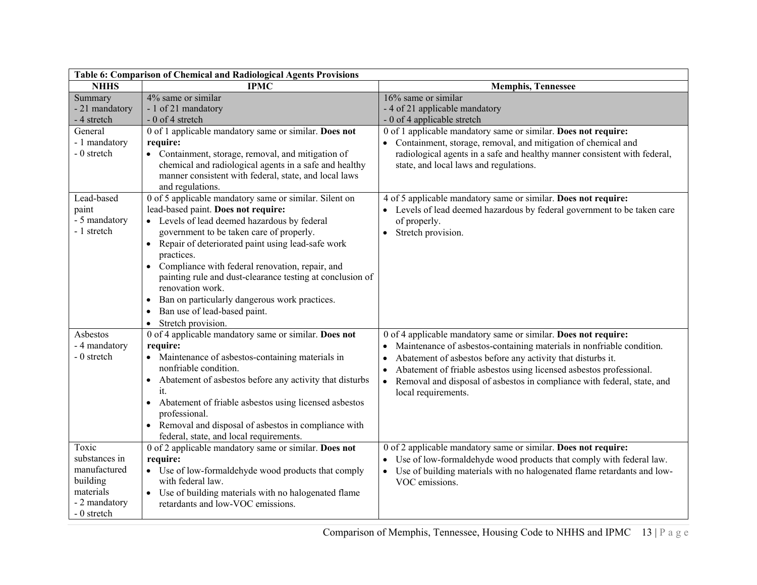| Table 6: Comparison of Chemical and Radiological Agents Provisions                              |                                                                                                                                                                                                                                                                                                                                                                                                                                                                                                                                                             |                                                                                                                                                                                                                                                                                                                                                                                                           |  |
|-------------------------------------------------------------------------------------------------|-------------------------------------------------------------------------------------------------------------------------------------------------------------------------------------------------------------------------------------------------------------------------------------------------------------------------------------------------------------------------------------------------------------------------------------------------------------------------------------------------------------------------------------------------------------|-----------------------------------------------------------------------------------------------------------------------------------------------------------------------------------------------------------------------------------------------------------------------------------------------------------------------------------------------------------------------------------------------------------|--|
| <b>NHHS</b>                                                                                     | <b>IPMC</b>                                                                                                                                                                                                                                                                                                                                                                                                                                                                                                                                                 | <b>Memphis, Tennessee</b>                                                                                                                                                                                                                                                                                                                                                                                 |  |
| Summary<br>- 21 mandatory<br>- 4 stretch                                                        | 4% same or similar<br>- 1 of 21 mandatory<br>- 0 of 4 stretch                                                                                                                                                                                                                                                                                                                                                                                                                                                                                               | $16\%$ same or similar<br>- 4 of 21 applicable mandatory<br>- 0 of 4 applicable stretch                                                                                                                                                                                                                                                                                                                   |  |
| General<br>- 1 mandatory<br>- 0 stretch                                                         | 0 of 1 applicable mandatory same or similar. Does not<br>require:<br>• Containment, storage, removal, and mitigation of<br>chemical and radiological agents in a safe and healthy<br>manner consistent with federal, state, and local laws<br>and regulations.                                                                                                                                                                                                                                                                                              | 0 of 1 applicable mandatory same or similar. Does not require:<br>• Containment, storage, removal, and mitigation of chemical and<br>radiological agents in a safe and healthy manner consistent with federal,<br>state, and local laws and regulations.                                                                                                                                                  |  |
| Lead-based<br>paint<br>- 5 mandatory<br>- 1 stretch                                             | 0 of 5 applicable mandatory same or similar. Silent on<br>lead-based paint. Does not require:<br>• Levels of lead deemed hazardous by federal<br>government to be taken care of properly.<br>Repair of deteriorated paint using lead-safe work<br>practices.<br>Compliance with federal renovation, repair, and<br>$\bullet$<br>painting rule and dust-clearance testing at conclusion of<br>renovation work.<br>Ban on particularly dangerous work practices.<br>$\bullet$<br>Ban use of lead-based paint.<br>$\bullet$<br>Stretch provision.<br>$\bullet$ | 4 of 5 applicable mandatory same or similar. Does not require:<br>• Levels of lead deemed hazardous by federal government to be taken care<br>of properly.<br>Stretch provision.<br>$\bullet$                                                                                                                                                                                                             |  |
| Asbestos<br>- 4 mandatory<br>- 0 stretch                                                        | 0 of 4 applicable mandatory same or similar. Does not<br>require:<br>• Maintenance of asbestos-containing materials in<br>nonfriable condition.<br>Abatement of asbestos before any activity that disturbs<br>$\bullet$<br>it.<br>Abatement of friable asbestos using licensed asbestos<br>$\bullet$<br>professional.<br>Removal and disposal of asbestos in compliance with<br>federal, state, and local requirements.                                                                                                                                     | 0 of 4 applicable mandatory same or similar. Does not require:<br>Maintenance of asbestos-containing materials in nonfriable condition.<br>Abatement of asbestos before any activity that disturbs it.<br>Abatement of friable asbestos using licensed asbestos professional.<br>$\bullet$<br>Removal and disposal of asbestos in compliance with federal, state, and<br>$\bullet$<br>local requirements. |  |
| Toxic<br>substances in<br>manufactured<br>building<br>materials<br>- 2 mandatory<br>- 0 stretch | 0 of 2 applicable mandatory same or similar. Does not<br>require:<br>• Use of low-formaldehyde wood products that comply<br>with federal law.<br>• Use of building materials with no halogenated flame<br>retardants and low-VOC emissions.                                                                                                                                                                                                                                                                                                                 | 0 of 2 applicable mandatory same or similar. Does not require:<br>Use of low-formaldehyde wood products that comply with federal law.<br>Use of building materials with no halogenated flame retardants and low-<br>$\bullet$<br>VOC emissions.                                                                                                                                                           |  |